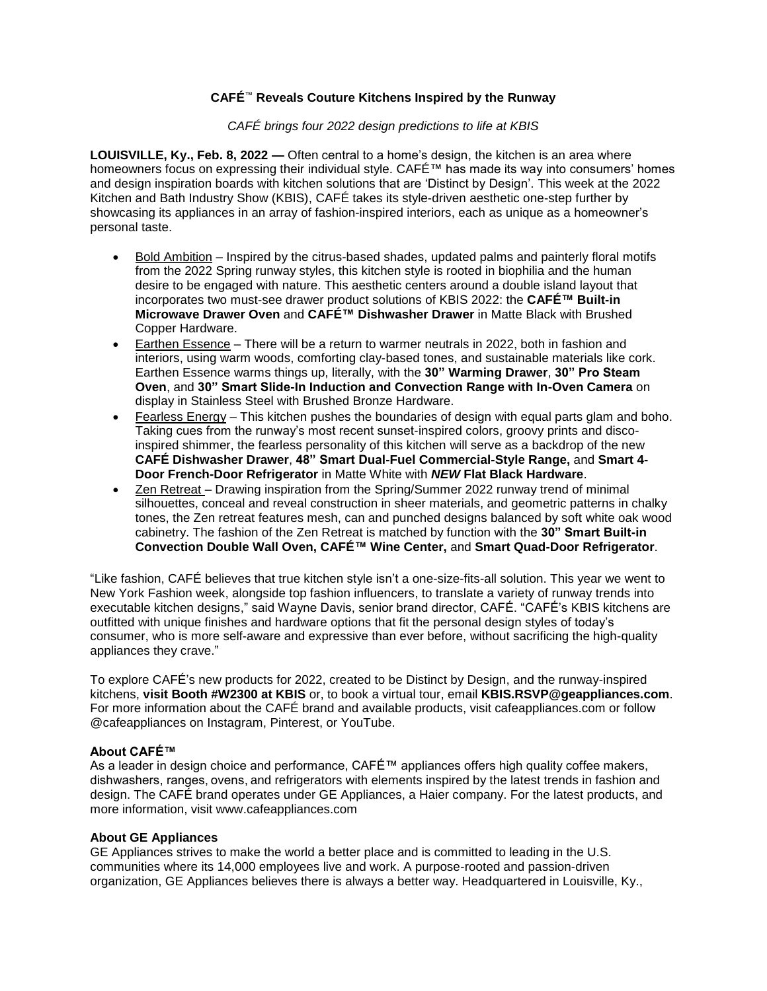## **CAFÉ**™ **Reveals Couture Kitchens Inspired by the Runway**

## *CAFÉ brings four 2022 design predictions to life at KBIS*

**LOUISVILLE, Ky., Feb. 8, 2022 —** Often central to a home's design, the kitchen is an area where homeowners focus on expressing their individual style. CAFÉ™ has made its way into consumers' homes and design inspiration boards with kitchen solutions that are 'Distinct by Design'. This week at the 2022 Kitchen and Bath Industry Show (KBIS), CAFÉ takes its style-driven aesthetic one-step further by showcasing its appliances in an array of fashion-inspired interiors, each as unique as a homeowner's personal taste.

- Bold Ambition Inspired by the citrus-based shades, updated palms and painterly floral motifs from the 2022 Spring runway styles, this kitchen style is rooted in biophilia and the human desire to be engaged with nature. This aesthetic centers around a double island layout that incorporates two must-see drawer product solutions of KBIS 2022: the **CAFÉ™ Built-in Microwave Drawer Oven** and **CAFÉ™ Dishwasher Drawer** in Matte Black with Brushed Copper Hardware.
- Earthen Essence There will be a return to warmer neutrals in 2022, both in fashion and interiors, using warm woods, comforting clay-based tones, and sustainable materials like cork. Earthen Essence warms things up, literally, with the **30" Warming Drawer**, **30" Pro Steam Oven**, and **30" Smart Slide-In Induction and Convection Range with In-Oven Camera** on display in Stainless Steel with Brushed Bronze Hardware.
- Fearless Energy This kitchen pushes the boundaries of design with equal parts glam and boho. Taking cues from the runway's most recent sunset-inspired colors, groovy prints and discoinspired shimmer, the fearless personality of this kitchen will serve as a backdrop of the new **CAFÉ Dishwasher Drawer**, **48" Smart Dual-Fuel Commercial-Style Range,** and **Smart 4- Door French-Door Refrigerator** in Matte White with *NEW* **Flat Black Hardware**.
- Zen Retreat Drawing inspiration from the Spring/Summer 2022 runway trend of minimal silhouettes, conceal and reveal construction in sheer materials, and geometric patterns in chalky tones, the Zen retreat features mesh, can and punched designs balanced by soft white oak wood cabinetry. The fashion of the Zen Retreat is matched by function with the **30" Smart Built-in Convection Double Wall Oven, CAFÉ™ Wine Center,** and **Smart Quad-Door Refrigerator**.

"Like fashion, CAFÉ believes that true kitchen style isn't a one-size-fits-all solution. This year we went to New York Fashion week, alongside top fashion influencers, to translate a variety of runway trends into executable kitchen designs," said Wayne Davis, senior brand director, CAFÉ. "CAFÉ's KBIS kitchens are outfitted with unique finishes and hardware options that fit the personal design styles of today's consumer, who is more self-aware and expressive than ever before, without sacrificing the high-quality appliances they crave."

To explore CAFÉ's new products for 2022, created to be Distinct by Design, and the runway-inspired kitchens, **visit Booth #W2300 at KBIS** or, to book a virtual tour, email **KBIS.RSVP@geappliances.com**. For more information about the CAFÉ brand and available products, visit cafeappliances.com or follow @cafeappliances on Instagram, Pinterest, or YouTube.

## **About CAFÉ™**

As a leader in design choice and performance, CAFÉ™ appliances offers high quality coffee makers, dishwashers, ranges, ovens, and refrigerators with elements inspired by the latest trends in fashion and design. The CAFÉ brand operates under GE Appliances, a Haier company. For the latest products, and more information, visit www.cafeappliances.com

## **About GE Appliances**

GE Appliances strives to make the world a better place and is committed to leading in the U.S. communities where its 14,000 employees live and work. A purpose-rooted and passion-driven organization, GE Appliances believes there is always a better way. Headquartered in Louisville, Ky.,